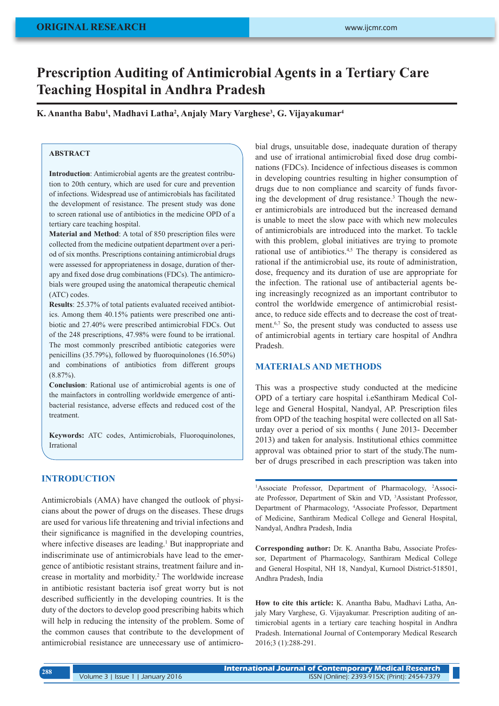# **Prescription Auditing of Antimicrobial Agents in a Tertiary Care Teaching Hospital in Andhra Pradesh**

**K. Anantha Babu1 , Madhavi Latha2 , Anjaly Mary Varghese3 , G. Vijayakumar4**

# **ABSTRACT**

**Introduction**: Antimicrobial agents are the greatest contribution to 20th century, which are used for cure and prevention of infections. Widespread use of antimicrobials has facilitated the development of resistance. The present study was done to screen rational use of antibiotics in the medicine OPD of a tertiary care teaching hospital.

**Material and Method**: A total of 850 prescription files were collected from the medicine outpatient department over a period of six months. Prescriptions containing antimicrobial drugs were assessed for appropriateness in dosage, duration of therapy and fixed dose drug combinations (FDCs). The antimicrobials were grouped using the anatomical therapeutic chemical (ATC) codes.

**Results**: 25.37% of total patients evaluated received antibiotics. Among them 40.15% patients were prescribed one antibiotic and 27.40% were prescribed antimicrobial FDCs. Out of the 248 prescriptions, 47.98% were found to be irrational. The most commonly prescribed antibiotic categories were penicillins (35.79%), followed by fluoroquinolones (16.50%) and combinations of antibiotics from different groups  $(8.87\%)$ .

**Conclusion**: Rational use of antimicrobial agents is one of the mainfactors in controlling worldwide emergence of antibacterial resistance, adverse effects and reduced cost of the treatment.

**Keywords:** ATC codes, Antimicrobials, Fluoroquinolones, Irrational

# **INTRODUCTION**

Antimicrobials (AMA) have changed the outlook of physicians about the power of drugs on the diseases. These drugs are used for various life threatening and trivial infections and their significance is magnified in the developing countries, where infective diseases are leading.<sup>1</sup> But inappropriate and indiscriminate use of antimicrobials have lead to the emergence of antibiotic resistant strains, treatment failure and increase in mortality and morbidity.2 The worldwide increase in antibiotic resistant bacteria isof great worry but is not described sufficiently in the developing countries. It is the duty of the doctors to develop good prescribing habits which will help in reducing the intensity of the problem. Some of the common causes that contribute to the development of antimicrobial resistance are unnecessary use of antimicrobial drugs, unsuitable dose, inadequate duration of therapy and use of irrational antimicrobial fixed dose drug combinations (FDCs). Incidence of infectious diseases is common in developing countries resulting in higher consumption of drugs due to non compliance and scarcity of funds favoring the development of drug resistance.<sup>3</sup> Though the newer antimicrobials are introduced but the increased demand is unable to meet the slow pace with which new molecules of antimicrobials are introduced into the market. To tackle with this problem, global initiatives are trying to promote rational use of antibiotics.<sup>4,5</sup> The therapy is considered as rational if the antimicrobial use, its route of administration, dose, frequency and its duration of use are appropriate for the infection. The rational use of antibacterial agents being increasingly recognized as an important contributor to control the worldwide emergence of antimicrobial resistance, to reduce side effects and to decrease the cost of treatment.<sup>6,7</sup> So, the present study was conducted to assess use of antimicrobial agents in tertiary care hospital of Andhra Pradesh.

#### **MATERIALS AND METHODS**

This was a prospective study conducted at the medicine OPD of a tertiary care hospital i.eSanthiram Medical College and General Hospital, Nandyal, AP. Prescription files from OPD of the teaching hospital were collected on all Saturday over a period of six months ( June 2013- December 2013) and taken for analysis. Institutional ethics committee approval was obtained prior to start of the study.The number of drugs prescribed in each prescription was taken into

<sup>1</sup>Associate Professor, Department of Pharmacology, <sup>2</sup>Associate Professor, Department of Skin and VD, <sup>3</sup>Assistant Professor, Department of Pharmacology, 4 Associate Professor, Department of Medicine, Santhiram Medical College and General Hospital, Nandyal, Andhra Pradesh, India

**Corresponding author:** Dr. K. Anantha Babu, Associate Professor, Department of Pharmacology, Santhiram Medical College and General Hospital, NH 18, Nandyal, Kurnool District-518501, Andhra Pradesh, India

**How to cite this article:** K. Anantha Babu, Madhavi Latha, Anjaly Mary Varghese, G. Vijayakumar. Prescription auditing of antimicrobial agents in a tertiary care teaching hospital in Andhra Pradesh. International Journal of Contemporary Medical Research 2016;3 (1):288-291.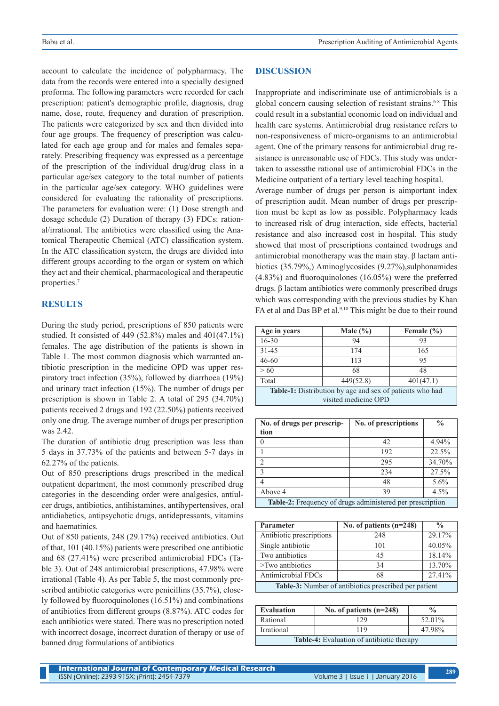account to calculate the incidence of polypharmacy. The data from the records were entered into a specially designed proforma. The following parameters were recorded for each prescription: patient's demographic profile, diagnosis, drug name, dose, route, frequency and duration of prescription. The patients were categorized by sex and then divided into four age groups. The frequency of prescription was calculated for each age group and for males and females separately. Prescribing frequency was expressed as a percentage of the prescription of the individual drug/drug class in a particular age/sex category to the total number of patients in the particular age/sex category. WHO guidelines were considered for evaluating the rationality of prescriptions. The parameters for evaluation were: (1) Dose strength and dosage schedule (2) Duration of therapy (3) FDCs: rational/irrational. The antibiotics were classified using the Anatomical Therapeutic Chemical (ATC) classification system. In the ATC classification system, the drugs are divided into different groups according to the organ or system on which they act and their chemical, pharmacological and therapeutic properties.<sup>7</sup>

#### **RESULTS**

During the study period, prescriptions of 850 patients were studied. It consisted of 449 (52.8%) males and 401(47.1%) females. The age distribution of the patients is shown in Table 1. The most common diagnosis which warranted antibiotic prescription in the medicine OPD was upper respiratory tract infection (35%), followed by diarrhoea (19%) and urinary tract infection (15%). The number of drugs per prescription is shown in Table 2. A total of 295 (34.70%) patients received 2 drugs and 192 (22.50%) patients received only one drug. The average number of drugs per prescription was 2.42.

The duration of antibiotic drug prescription was less than 5 days in 37.73% of the patients and between 5-7 days in 62.27% of the patients.

Out of 850 prescriptions drugs prescribed in the medical outpatient department, the most commonly prescribed drug categories in the descending order were analgesics, antiulcer drugs, antibiotics, antihistamines, antihypertensives, oral antidiabetics, antipsychotic drugs, antidepressants, vitamins and haematinics.

Out of 850 patients, 248 (29.17%) received antibiotics. Out of that, 101 (40.15%) patients were prescribed one antibiotic and 68 (27.41%) were prescribed antimicrobial FDCs (Table 3). Out of 248 antimicrobial prescriptions, 47.98% were irrational (Table 4). As per Table 5, the most commonly prescribed antibiotic categories were penicillins (35.7%), closely followed by fluoroquinolones (16.51%) and combinations of antibiotics from different groups (8.87%). ATC codes for each antibiotics were stated. There was no prescription noted with incorrect dosage, incorrect duration of therapy or use of banned drug formulations of antibiotics

#### **DISCUSSION**

Inappropriate and indiscriminate use of antimicrobials is a global concern causing selection of resistant strains.<sup>6-8</sup> This could result in a substantial economic load on individual and health care systems. Antimicrobial drug resistance refers to non-responsiveness of micro-organisms to an antimicrobial agent. One of the primary reasons for antimicrobial drug resistance is unreasonable use of FDCs. This study was undertaken to assessthe rational use of antimicrobial FDCs in the Medicine outpatient of a tertiary level teaching hospital.

Average number of drugs per person is aimportant index of prescription audit. Mean number of drugs per prescription must be kept as low as possible. Polypharmacy leads to increased risk of drug interaction, side effects, bacterial resistance and also increased cost in hospital. This study showed that most of prescriptions contained twodrugs and antimicrobial monotherapy was the main stay. β lactam antibiotics (35.79%,) Aminoglycosides (9.27%), sulphonamides (4.83%) and fluoroquinolones (16.05%) were the preferred drugs. β lactam antibiotics were commonly prescribed drugs which was corresponding with the previous studies by Khan FA et al and Das BP et al.<sup>9,10</sup> This might be due to their round

| Age in years                                             | Male $(\% )$ | Female $(\% )$ |  |  |
|----------------------------------------------------------|--------------|----------------|--|--|
| $16 - 30$                                                | 94           | 93             |  |  |
| $31 - 45$                                                | 174          | 165            |  |  |
| $46 - 60$                                                | 113          | 95             |  |  |
| > 60                                                     | 68           | 48             |  |  |
| Total                                                    | 449(52.8)    | 401(47.1)      |  |  |
| Table-1: Distribution by age and sex of patients who had |              |                |  |  |
| visited medicine OPD                                     |              |                |  |  |

| No. of drugs per prescrip-                                | No. of prescriptions | $\frac{0}{0}$ |  |  |
|-----------------------------------------------------------|----------------------|---------------|--|--|
| tion                                                      |                      |               |  |  |
| 0                                                         | 42                   | 4.94%         |  |  |
|                                                           | 192                  | 22.5%         |  |  |
| $\overline{2}$                                            | 295                  | 34.70%        |  |  |
| $\mathcal{E}$                                             | 234                  | 27.5%         |  |  |
| 4                                                         | 48                   | 5.6%          |  |  |
| Above 4                                                   | 39                   | 4.5%          |  |  |
| Table-2: Frequency of drugs administered per prescription |                      |               |  |  |

| Parameter                                             | No. of patients $(n=248)$ | $\frac{0}{0}$ |  |
|-------------------------------------------------------|---------------------------|---------------|--|
| Antibiotic prescriptions                              | 248                       | 29.17%        |  |
| Single antibiotic                                     | 101                       | 40.05%        |  |
| Two antibiotics                                       | 45                        | 18.14%        |  |
| $\geq$ Two antibiotics                                | 34                        | 13.70%        |  |
| Antimicrobial FDCs                                    | 68                        | 27.41%        |  |
| Table-3: Number of antibiotics prescribed per patient |                           |               |  |

| <b>Evaluation</b>                                | No. of patients $(n=248)$ | $\frac{0}{0}$ |
|--------------------------------------------------|---------------------------|---------------|
| Rational                                         | 129                       | 52.01%        |
| Irrational                                       | 119                       | 47.98%        |
| <b>Table-4:</b> Evaluation of antibiotic therapy |                           |               |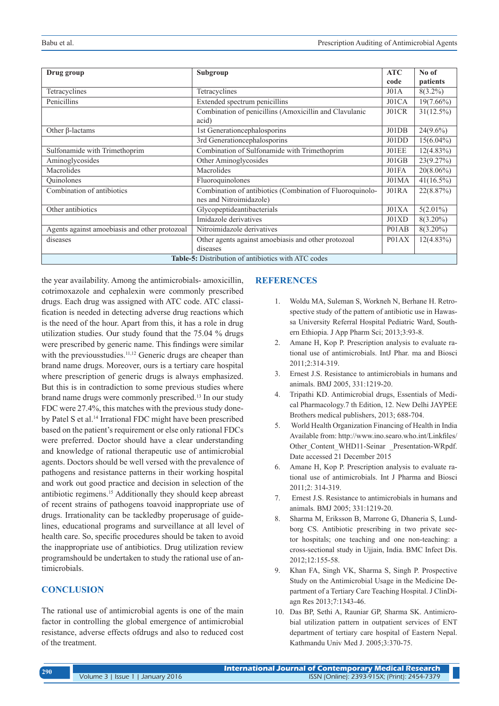| Drug group                                                 | Subgroup                                                  | <b>ATC</b> | No of        |  |
|------------------------------------------------------------|-----------------------------------------------------------|------------|--------------|--|
|                                                            |                                                           | code       | patients     |  |
| Tetracyclines                                              | Tetracyclines                                             | J01A       | $8(3.2\%)$   |  |
| Penicillins                                                | Extended spectrum penicillins                             | J01CA      | $19(7.66\%)$ |  |
|                                                            | Combination of penicillins (Amoxicillin and Clavulanic    | J01CR      | $31(12.5\%)$ |  |
|                                                            | acid)                                                     |            |              |  |
| Other $\beta$ -lactams                                     | 1st Generationcephalosporins                              | J01DB      | $24(9.6\%)$  |  |
|                                                            | 3rd Generationcephalosporins                              | J01DD      | $15(6.04\%)$ |  |
| Sulfonamide with Trimethoprim                              | Combination of Sulfonamide with Trimethoprim              | JO1EE      | $12(4.83\%)$ |  |
| Aminoglycosides                                            | Other Aminoglycosides                                     | J01GB      | 23(9.27%)    |  |
| Macrolides                                                 | Macrolides                                                | J01FA      | $20(8.06\%)$ |  |
| <b>Ouinolones</b>                                          | Fluoroquinolones                                          | J01MA      | $41(16.5\%)$ |  |
| Combination of antibiotics                                 | Combination of antibiotics (Combination of Fluoroquinolo- | J01RA      | 22(8.87%)    |  |
|                                                            | nes and Nitroimidazole)                                   |            |              |  |
| Other antibiotics                                          | Glycopeptideantibacterials                                | J01XA      | $5(2.01\%)$  |  |
|                                                            | Imidazole derivatives                                     | J01XD      | $8(3.20\%)$  |  |
| Agents against amoebiasis and other protozoal              | Nitroimidazole derivatives                                | P01AB      | $8(3.20\%)$  |  |
| diseases                                                   | Other agents against amoebiasis and other protozoal       | P01AX      | $12(4.83\%)$ |  |
|                                                            | diseases                                                  |            |              |  |
| <b>Table-5:</b> Distribution of antibiotics with ATC codes |                                                           |            |              |  |

the year availability. Among the antimicrobials- amoxicillin, cotrimoxazole and cephalexin were commonly prescribed drugs. Each drug was assigned with ATC code. ATC classification is needed in detecting adverse drug reactions which is the need of the hour. Apart from this, it has a role in drug utilization studies. Our study found that the 75.04 % drugs were prescribed by generic name. This findings were similar with the previous studies.<sup>11,12</sup> Generic drugs are cheaper than brand name drugs. Moreover, ours is a tertiary care hospital where prescription of generic drugs is always emphasized. But this is in contradiction to some previous studies where brand name drugs were commonly prescribed.<sup>13</sup> In our study FDC were 27.4%, this matches with the previous study doneby Patel S et al.<sup>14</sup> Irrational FDC might have been prescribed based on the patient's requirement or else only rational FDCs were preferred. Doctor should have a clear understanding and knowledge of rational therapeutic use of antimicrobial agents. Doctors should be well versed with the prevalence of pathogens and resistance patterns in their working hospital and work out good practice and decision in selection of the antibiotic regimens.15 Additionally they should keep abreast of recent strains of pathogens toavoid inappropriate use of drugs. Irrationality can be tackledby properusage of guidelines, educational programs and surveillance at all level of health care. So, specific procedures should be taken to avoid the inappropriate use of antibiotics. Drug utilization review programshould be undertaken to study the rational use of antimicrobials.

# **CONCLUSION**

The rational use of antimicrobial agents is one of the main factor in controlling the global emergence of antimicrobial resistance, adverse effects ofdrugs and also to reduced cost of the treatment.

# **REFERENCES**

- 1. Woldu MA, Suleman S, Workneh N, Berhane H. Retrospective study of the pattern of antibiotic use in Hawassa University Referral Hospital Pediatric Ward, Southern Ethiopia. J App Pharm Sci; 2013;3:93-8.
- 2. Amane H, Kop P. Prescription analysis to evaluate rational use of antimicrobials. IntJ Phar. ma and Biosci 2011;2:314-319.
- 3. Ernest J.S. Resistance to antimicrobials in humans and animals. BMJ 2005, 331:1219-20.
- 4. Tripathi KD. Antimicrobial drugs, Essentials of Medical Pharmacology.7 th Edition, 12. New Delhi JAYPEE Brothers medical publishers, 2013; 688-704.
- 5. World Health Organization Financing of Health in India Available from: http://www.ino.searo.who.int/Linkfiles/ Other\_Content\_WHD11-Seinar \_Presentation-WRpdf. Date accessed 21 December 2015
- 6. Amane H, Kop P. Prescription analysis to evaluate rational use of antimicrobials. Int J Pharma and Biosci 2011;2: 314-319.
- 7. Ernest J.S. Resistance to antimicrobials in humans and animals. BMJ 2005; 331:1219-20.
- 8. Sharma M, Eriksson B, Marrone G, Dhaneria S, Lundborg CS. Antibiotic prescribing in two private sector hospitals; one teaching and one non-teaching: a cross-sectional study in Ujjain, India. BMC Infect Dis. 2012;12:155-58.
- 9. Khan FA, Singh VK, Sharma S, Singh P. Prospective Study on the Antimicrobial Usage in the Medicine Department of a Tertiary Care Teaching Hospital. J ClinDiagn Res 2013;7:1343-46.
- 10. Das BP, Sethi A, Rauniar GP, Sharma SK. Antimicrobial utilization pattern in outpatient services of ENT department of tertiary care hospital of Eastern Nepal. Kathmandu Univ Med J. 2005;3:370-75.